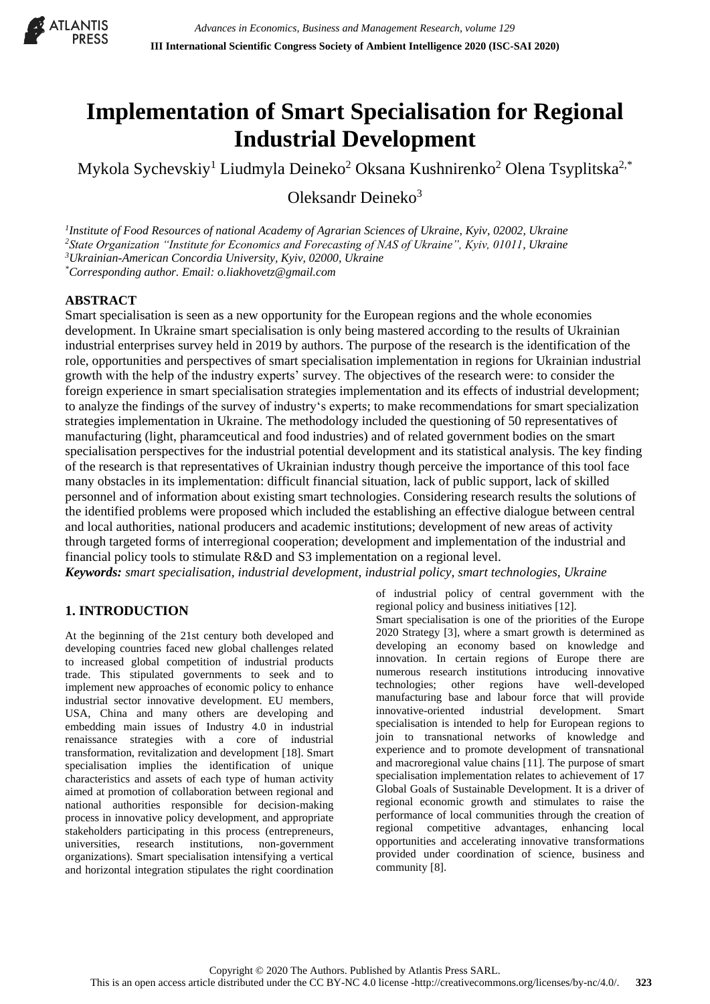

# **Implementation of Smart Specialisation for Regional Industrial Development**

Mykola Sychevskiy<sup>1</sup> Liudmyla Deineko<sup>2</sup> Oksana Kushnirenko<sup>2</sup> Olena Tsyplitska<sup>2,\*</sup>

Oleksandr Deineko $3$ 

 *Institute of Food Resources of national Academy of Agrarian Sciences of Ukraine, Kyiv, 02002, Ukraine State Organization "Institute for Economics and Forecasting of NAS of Ukraine", Kyiv, 01011, Ukraine Ukrainian-American Concordia University, Kyiv, 02000, Ukraine \*Corresponding author. Email: o.liakhovetz@gmail.com*

# **ABSTRACT**

Smart specialisation is seen as a new opportunity for the European regions and the whole economies development. In Ukraine smart specialisation is only being mastered according to the results of Ukrainian industrial enterprises survey held in 2019 by authors. The purpose of the research is the identification of the role, opportunities and perspectives of smart specialisation implementation in regions for Ukrainian industrial growth with the help of the industry experts' survey. The objectives of the research were: to consider the foreign experience in smart specialisation strategies implementation and its effects of industrial development; to analyze the findings of the survey of industry's experts; to make recommendations for smart specialization strategies implementation in Ukraine. The methodology included the questioning of 50 representatives of manufacturing (light, pharamceutical and food industries) and of related government bodies on the smart specialisation perspectives for the industrial potential development and its statistical analysis. The key finding of the research is that representatives of Ukrainian industry though perceive the importance of this tool face many obstacles in its implementation: difficult financial situation, lack of public support, lack of skilled personnel and of information about existing smart technologies. Considering research results the solutions of the identified problems were proposed which included the establishing an effective dialogue between central and local authorities, national producers and academic institutions; development of new areas of activity through targeted forms of interregional cooperation; development and implementation of the industrial and financial policy tools to stimulate R&D and S3 implementation on a regional level. *Keywords: smart specialisation, industrial development, industrial policy, smart technologies, Ukraine*

# **1. INTRODUCTION**

At the beginning of the 21st century both developed and developing countries faced new global challenges related to increased global competition of industrial products trade. This stipulated governments to seek and to implement new approaches of economic policy to enhance industrial sector innovative development. EU members, USA, China and many others are developing and embedding main issues of Industry 4.0 in industrial renaissance strategies with a core of industrial transformation, revitalization and development [18]. Smart specialisation implies the identification of unique characteristics and assets of each type of human activity aimed at promotion of collaboration between regional and national authorities responsible for decision-making process in innovative policy development, and appropriate stakeholders participating in this process (entrepreneurs, universities, research institutions, non-government organizations). Smart specialisation intensifying a vertical and horizontal integration stipulates the right coordination

of industrial policy of central government with the regional policy and business initiatives [12]. Smart specialisation is one of the priorities of the Europe 2020 Strategy [3], where a smart growth is determined as developing an economy based on knowledge and innovation. In certain regions of Europe there are numerous research institutions introducing innovative technologies; other regions have well-developed manufacturing base and labour force that will provide innovative-oriented industrial development. Smart specialisation is intended to help for European regions to join to transnational networks of knowledge and experience and to promote development of transnational and macroregional value chains [11]. The purpose of smart specialisation implementation relates to achievement of 17 Global Goals of Sustainable Development. It is a driver of regional economic growth and stimulates to raise the performance of local communities through the creation of regional competitive advantages, enhancing local opportunities and accelerating innovative transformations provided under coordination of science, business and community [8].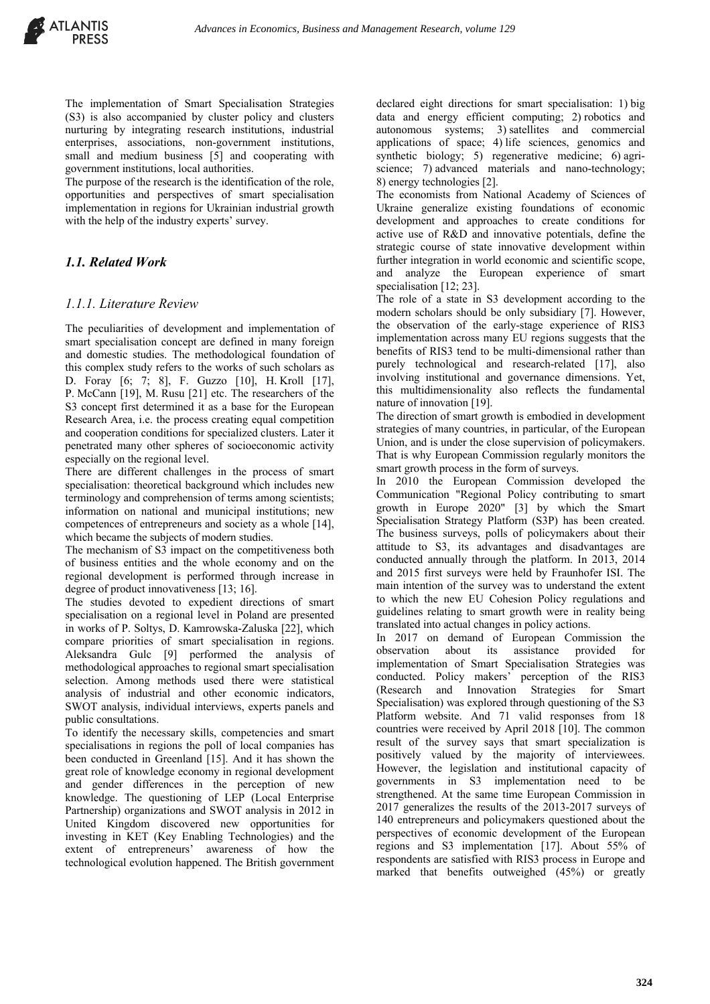The implementation of Smart Specialisation Strategies (S3) is also accompanied by cluster policy and clusters nurturing by integrating research institutions, industrial enterprises, associations, non-government institutions, small and medium business [5] and cooperating with government institutions, local authorities.

The purpose of the research is the identification of the role, opportunities and perspectives of smart specialisation implementation in regions for Ukrainian industrial growth with the help of the industry experts' survey.

# *1.1. Related Work*

#### *1.1.1. Literature Review*

The peculiarities of development and implementation of smart specialisation concept are defined in many foreign and domestic studies. The methodological foundation of this complex study refers to the works of such scholars as D. Foray [6; 7; 8], F. Guzzo [10], H. Kroll [17], P. McCann [19], M. Rusu [21] etc. The researchers of the S3 concept first determined it as a base for the European Research Area, i.e. the process creating equal competition and cooperation conditions for specialized clusters. Later it penetrated many other spheres of socioeconomic activity especially on the regional level.

There are different challenges in the process of smart specialisation: theoretical background which includes new terminology and comprehension of terms among scientists; information on national and municipal institutions; new competences of entrepreneurs and society as a whole [14], which became the subjects of modern studies.

The mechanism of S3 impact on the competitiveness both of business entities and the whole economy and on the regional development is performed through increase in degree of product innovativeness [13; 16].

The studies devoted to expedient directions of smart specialisation on a regional level in Poland are presented in works of P. Soltys, D. Kamrowska-Zaluska [22], which compare priorities of smart specialisation in regions. Aleksandra Gulc [9] performed the analysis of methodological approaches to regional smart specialisation selection. Among methods used there were statistical analysis of industrial and other economic indicators, SWOT analysis, individual interviews, experts panels and public consultations.

To identify the necessary skills, competencies and smart specialisations in regions the poll of local companies has been conducted in Greenland [15]. And it has shown the great role of knowledge economy in regional development and gender differences in the perception of new knowledge. The questioning of LEP (Local Enterprise Partnership) organizations and SWOT analysis in 2012 in United Kingdom discovered new opportunities for investing in KET (Key Enabling Technologies) and the extent of entrepreneurs' awareness of how the technological evolution happened. The British government

declared eight directions for smart specialisation: 1) big data and energy efficient computing; 2) robotics and autonomous systems; 3) satellites and commercial applications of space; 4) life sciences, genomics and synthetic biology; 5) regenerative medicine; 6) agriscience; 7) advanced materials and nano-technology; 8) energy technologies [2].

The economists from National Academy of Sciences of Ukraine generalize existing foundations of economic development and approaches to create conditions for active use of R&D and innovative potentials, define the strategic course of state innovative development within further integration in world economic and scientific scope, and analyze the European experience of smart specialisation [12; 23].

The role of a state in S3 development according to the modern scholars should be only subsidiary [7]. However, the observation of the early-stage experience of RIS3 implementation across many EU regions suggests that the benefits of RIS3 tend to be multi-dimensional rather than purely technological and research-related [17], also involving institutional and governance dimensions. Yet, this multidimensionality also reflects the fundamental nature of innovation [19].

The direction of smart growth is embodied in development strategies of many countries, in particular, of the European Union, and is under the close supervision of policymakers. That is why European Commission regularly monitors the smart growth process in the form of surveys.

In 2010 the European Commission developed the Communication "Regional Policy contributing to smart growth in Europe 2020" [3] by which the Smart Specialisation Strategy Platform (S3P) has been created. The business surveys, polls of policymakers about their attitude to S3, its advantages and disadvantages are conducted annually through the platform. In 2013, 2014 and 2015 first surveys were held by Fraunhofer ISI. The main intention of the survey was to understand the extent to which the new EU Cohesion Policy regulations and guidelines relating to smart growth were in reality being translated into actual changes in policy actions.

In 2017 on demand of European Commission the observation about its assistance provided for implementation of Smart Specialisation Strategies was conducted. Policy makers' perception of the RIS3 (Research and Innovation Strategies for Smart Specialisation) was explored through questioning of the S3 Platform website. And 71 valid responses from 18 countries were received by April 2018 [10]. The common result of the survey says that smart specialization is positively valued by the majority of interviewees. However, the legislation and institutional capacity of governments in S3 implementation need to be strengthened. At the same time European Commission in 2017 generalizes the results of the 2013-2017 surveys of 140 entrepreneurs and policymakers questioned about the perspectives of economic development of the European regions and S3 implementation [17]. About 55% of respondents are satisfied with RIS3 process in Europe and marked that benefits outweighed (45%) or greatly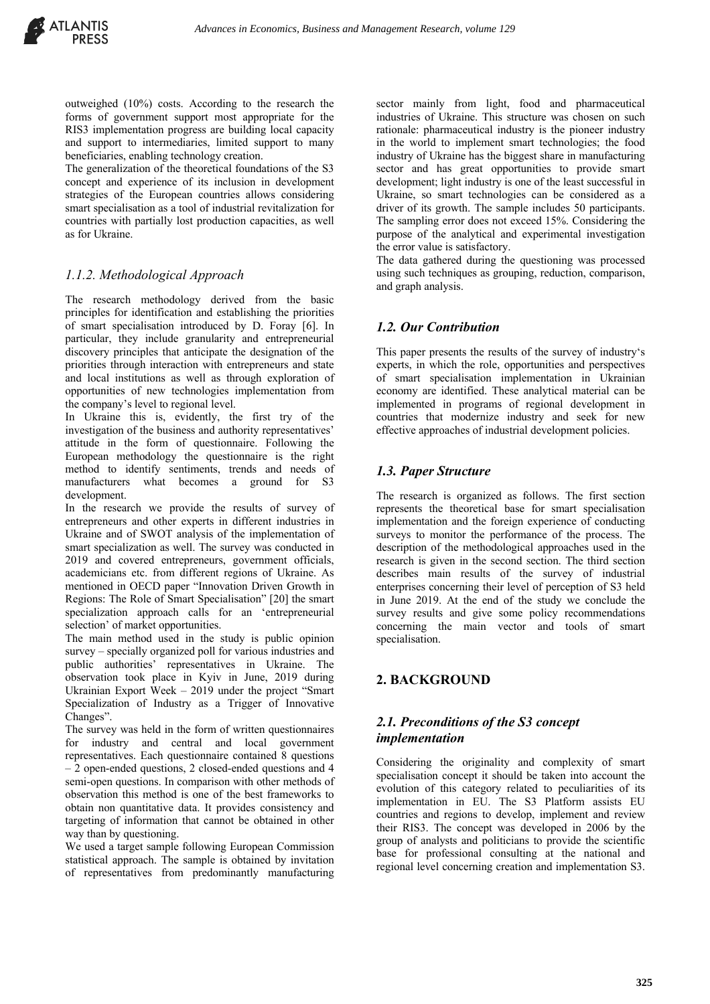outweighed (10%) costs. According to the research the forms of government support most appropriate for the RIS3 implementation progress are building local capacity and support to intermediaries, limited support to many beneficiaries, enabling technology creation.

The generalization of the theoretical foundations of the S3 concept and experience of its inclusion in development strategies of the European countries allows considering smart specialisation as a tool of industrial revitalization for countries with partially lost production capacities, as well as for Ukraine.

# *1.1.2. Methodological Approach*

The research methodology derived from the basic principles for identification and establishing the priorities of smart specialisation introduced by D. Foray [6]. In particular, they include granularity and entrepreneurial discovery principles that anticipate the designation of the priorities through interaction with entrepreneurs and state and local institutions as well as through exploration of opportunities of new technologies implementation from the company's level to regional level.

In Ukraine this is, evidently, the first try of the investigation of the business and authority representatives' attitude in the form of questionnaire. Following the European methodology the questionnaire is the right method to identify sentiments, trends and needs of manufacturers what becomes a ground for S3 development.

In the research we provide the results of survey of entrepreneurs and other experts in different industries in Ukraine and of SWOT analysis of the implementation of smart specialization as well. The survey was conducted in 2019 and covered entrepreneurs, government officials, academicians etc. from different regions of Ukraine. As mentioned in OECD paper "Innovation Driven Growth in Regions: The Role of Smart Specialisation" [20] the smart specialization approach calls for an 'entrepreneurial selection' of market opportunities.

The main method used in the study is public opinion survey – specially organized poll for various industries and public authorities' representatives in Ukraine. The observation took place in Kyiv in June, 2019 during Ukrainian Export Week – 2019 under the project "Smart Specialization of Industry as a Trigger of Innovative Changes".

The survey was held in the form of written questionnaires for industry and central and local government representatives. Each questionnaire contained 8 questions – 2 open-ended questions, 2 closed-ended questions and 4 semi-open questions. In comparison with other methods of observation this method is one of the best frameworks to obtain non quantitative data. It provides consistency and targeting of information that cannot be obtained in other way than by questioning.

We used a target sample following European Commission statistical approach. The sample is obtained by invitation of representatives from predominantly manufacturing sector mainly from light, food and pharmaceutical industries of Ukraine. This structure was chosen on such rationale: pharmaceutical industry is the pioneer industry in the world to implement smart technologies; the food industry of Ukraine has the biggest share in manufacturing sector and has great opportunities to provide smart development; light industry is one of the least successful in Ukraine, so smart technologies can be considered as a driver of its growth. The sample includes 50 participants. The sampling error does not exceed 15%. Considering the purpose of the analytical and experimental investigation the error value is satisfactory.

The data gathered during the questioning was processed using such techniques as grouping, reduction, comparison, and graph analysis.

# *1.2. Our Contribution*

This paper presents the results of the survey of industry's experts, in which the role, opportunities and perspectives of smart specialisation implementation in Ukrainian economy are identified. These analytical material can be implemented in programs of regional development in countries that modernize industry and seek for new effective approaches of industrial development policies.

#### *1.3. Paper Structure*

The research is organized as follows. The first section represents the theoretical base for smart specialisation implementation and the foreign experience of conducting surveys to monitor the performance of the process. The description of the methodological approaches used in the research is given in the second section. The third section describes main results of the survey of industrial enterprises concerning their level of perception of S3 held in June 2019. At the end of the study we conclude the survey results and give some policy recommendations concerning the main vector and tools of smart specialisation.

# **2. BACKGROUND**

# *2.1. Preconditions of the S3 concept implementation*

Considering the originality and complexity of smart specialisation concept it should be taken into account the evolution of this category related to peculiarities of its implementation in EU. The S3 Platform assists EU countries and regions to develop, implement and review their RIS3. The concept was developed in 2006 by the group of analysts and politicians to provide the scientific base for professional consulting at the national and regional level concerning creation and implementation S3.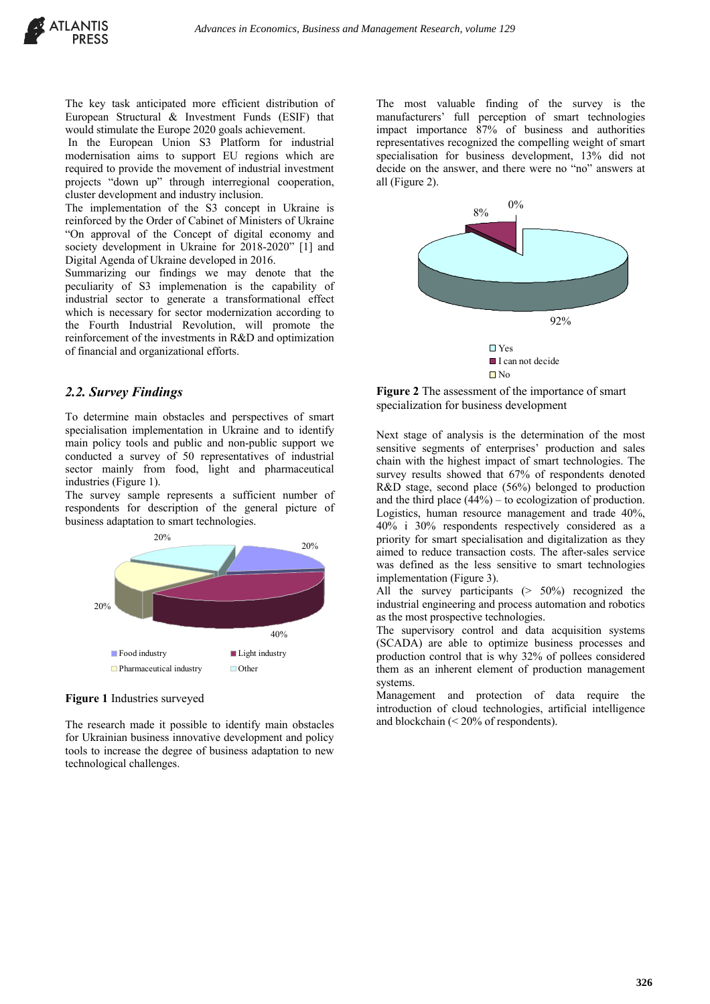The key task anticipated more efficient distribution of European Structural & Investment Funds (ESIF) that would stimulate the Europe 2020 goals achievement.

In the European Union S3 Platform for industrial modernisation aims to support EU regions which are required to provide the movement of industrial investment projects "down up" through interregional cooperation, cluster development and industry inclusion.

The implementation of the S3 concept in Ukraine is reinforced by the Order of Cabinet of Ministers of Ukraine "On approval of the Concept of digital economy and society development in Ukraine for 2018-2020" [1] and Digital Agenda of Ukraine developed in 2016.

Summarizing our findings we may denote that the peculiarity of S3 implemenation is the capability of industrial sector to generate a transformational effect which is necessary for sector modernization according to the Fourth Industrial Revolution, will promote the reinforcement of the investments in R&D and optimization of financial and organizational efforts.

#### *2.2. Survey Findings*

To determine main obstacles and perspectives of smart specialisation implementation in Ukraine and to identify main policy tools and public and non-public support we conducted a survey of 50 representatives of industrial sector mainly from food, light and pharmaceutical industries (Figure 1).

The survey sample represents a sufficient number of respondents for description of the general picture of business adaptation to smart technologies.



#### **Figure 1** Industries surveyed

The research made it possible to identify main obstacles for Ukrainian business innovative development and policy tools to increase the degree of business adaptation to new technological challenges.

The most valuable finding of the survey is the manufacturers' full perception of smart technologies impact importance 87% of business and authorities representatives recognized the compelling weight of smart specialisation for business development, 13% did not decide on the answer, and there were no "no" answers at all (Figure 2).



**Figure 2** The assessment of the importance of smart specialization for business development

Next stage of analysis is the determination of the most sensitive segments of enterprises' production and sales chain with the highest impact of smart technologies. The survey results showed that 67% of respondents denoted R&D stage, second place (56%) belonged to production and the third place  $(44%)$  – to ecologization of production. Logistics, human resource management and trade 40%, 40% і 30% respondents respectively considered as a priority for smart specialisation and digitalization as they aimed to reduce transaction costs. The after-sales service was defined as the less sensitive to smart technologies implementation (Figure 3).

All the survey participants (> 50%) recognized the industrial engineering and process automation and robotics as the most prospective technologies.

The supervisory control and data acquisition systems (SCADA) are able to optimize business processes and production control that is why 32% of pollees considered them as an inherent element of production management systems.

Management and protection of data require the introduction of cloud technologies, artificial intelligence and blockchain (< 20% of respondents).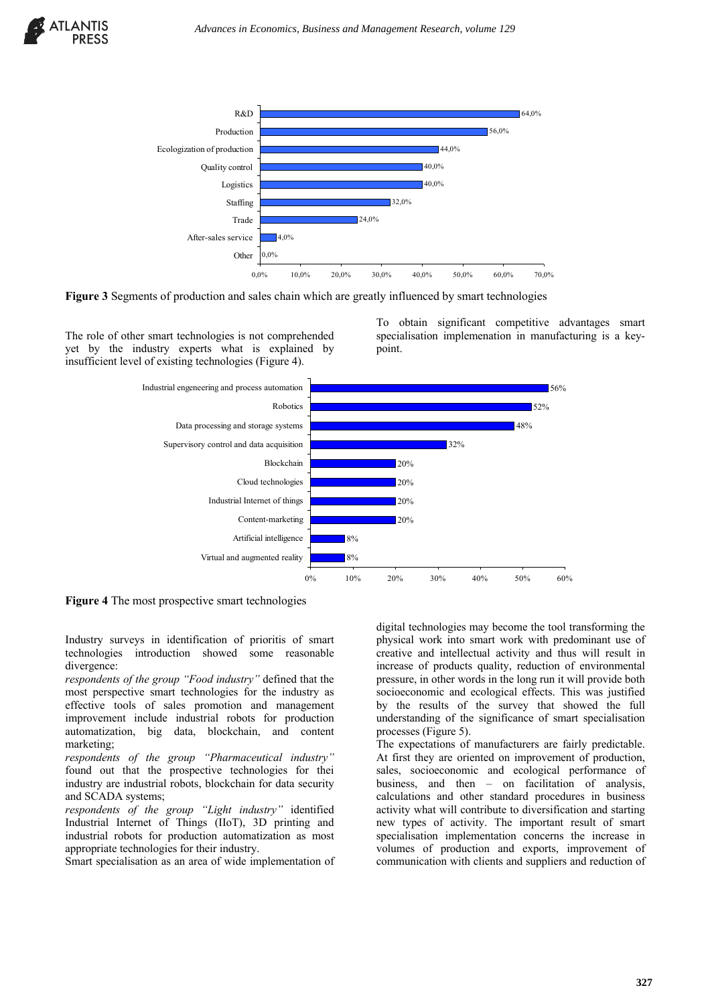



The role of other smart technologies is not comprehended yet by the industry experts what is explained by insufficient level of existing technologies (Figure 4).



point.

**Figure 4** The most prospective smart technologies

Industry surveys in identification of prioritis of smart technologies introduction showed some reasonable divergence:

*respondents of the group "Food industry"* defined that the most perspective smart technologies for the industry as effective tools of sales promotion and management improvement include industrial robots for production automatization, big data, blockchain, and content marketing;

*respondents of the group "Pharmaceutical industry"* found out that the prospective technologies for thei industry are industrial robots, blockchain for data security and SCADA systems;

*respondents of the group "Light industry"* identified Industrial Internet of Things (IIoT), 3D printing and industrial robots for production automatization as most appropriate technologies for their industry.

Smart specialisation as an area of wide implementation of

digital technologies may become the tool transforming the physical work into smart work with predominant use of creative and intellectual activity and thus will result in increase of products quality, reduction of environmental pressure, in other words in the long run it will provide both socioeconomic and ecological effects. This was justified by the results of the survey that showed the full understanding of the significance of smart specialisation processes (Figure 5).

To obtain significant competitive advantages smart specialisation implemenation in manufacturing is a key-

The expectations of manufacturers are fairly predictable. At first they are oriented on improvement of production, sales, socioeconomic and ecological performance of business, and then – on facilitation of analysis, calculations and other standard procedures in business activity what will contribute to diversification and starting new types of activity. The important result of smart specialisation implementation concerns the increase in volumes of production and exports, improvement of communication with clients and suppliers and reduction of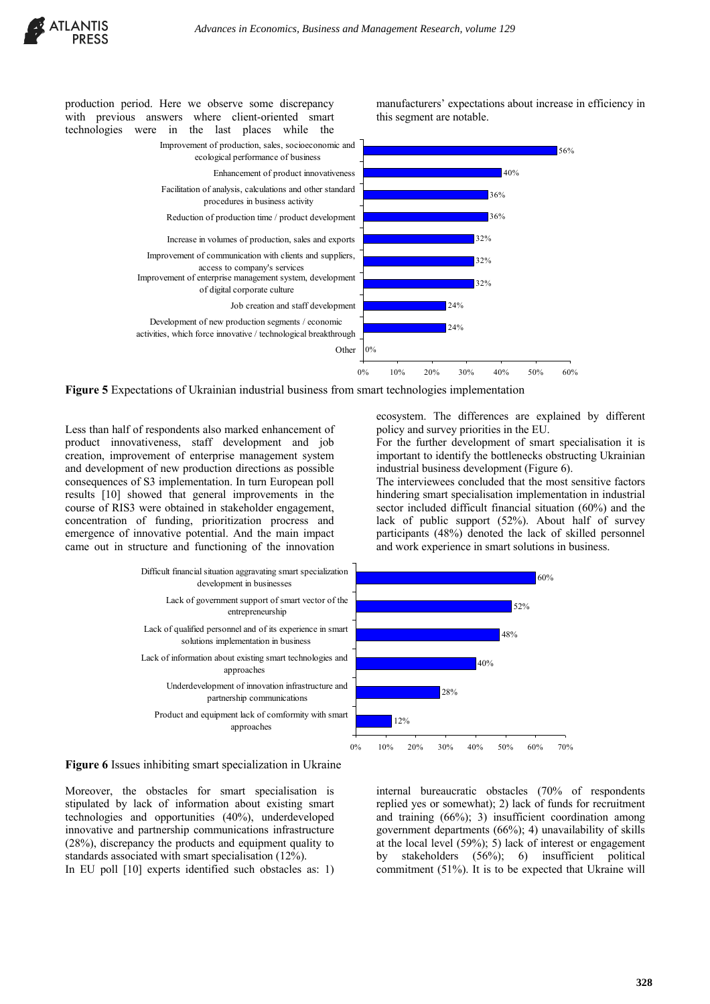



**Figure 5** Expectations of Ukrainian industrial business from smart technologies implementation

Less than half of respondents also marked enhancement of product innovativeness, staff development and job creation, improvement of enterprise management system and development of new production directions as possible consequences of S3 implementation. In turn European poll results [10] showed that general improvements in the course of RIS3 were obtained in stakeholder engagement, concentration of funding, prioritization procress and emergence of innovative potential. And the main impact came out in structure and functioning of the innovation



important to identify the bottlenecks obstructing Ukrainian industrial business development (Figure 6).

The interviewees concluded that the most sensitive factors hindering smart specialisation implementation in industrial sector included difficult financial situation (60%) and the lack of public support (52%). About half of survey participants (48%) denoted the lack of skilled personnel and work experience in smart solutions in business.



**Figure 6** Issues inhibiting smart specialization in Ukraine

Moreover, the obstacles for smart specialisation is stipulated by lack of information about existing smart technologies and opportunities (40%), underdeveloped innovative and partnership communications infrastructure (28%), discrepancy the products and equipment quality to standards associated with smart specialisation (12%).

In EU poll [10] experts identified such obstacles as: 1)

internal bureaucratic obstacles (70% of respondents replied yes or somewhat); 2) lack of funds for recruitment and training (66%); 3) insufficient coordination among government departments (66%); 4) unavailability of skills at the local level (59%); 5) lack of interest or engagement by stakeholders (56%); 6) insufficient political commitment (51%). It is to be expected that Ukraine will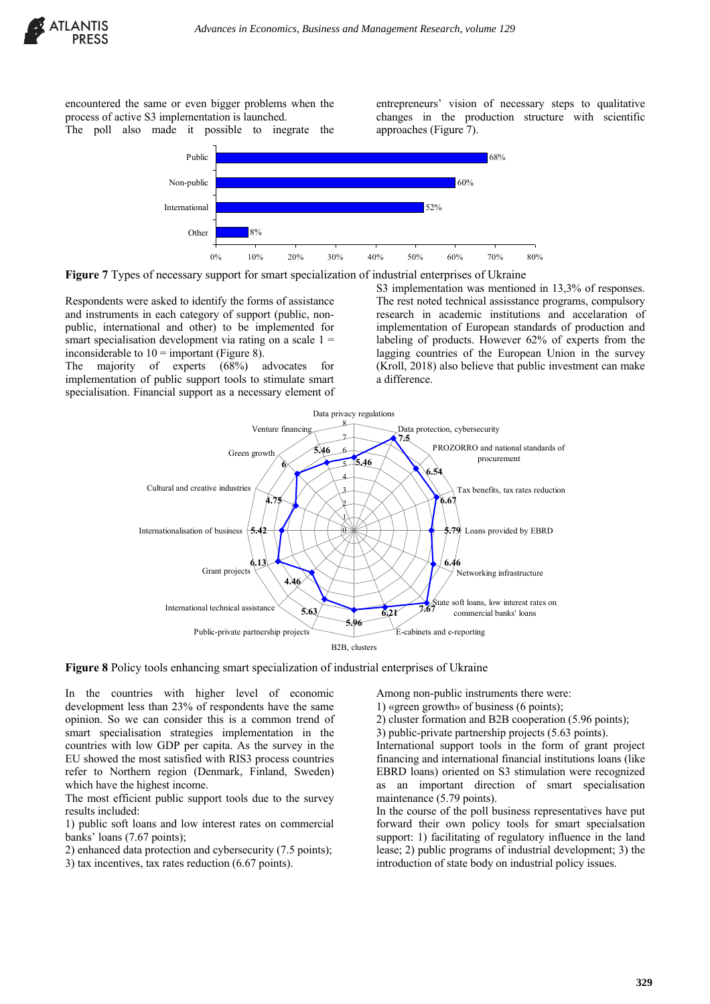encountered the same or even bigger problems when the process of active S3 implementation is launched.

The poll also made it possible to inegrate the

entrepreneurs' vision of necessary steps to qualitative changes in the production structure with scientific approaches (Figure 7).



**Figure 7** Types of necessary support for smart specialization of industrial enterprises of Ukraine

Respondents were asked to identify the forms of assistance and instruments in each category of support (public, nonpublic, international and other) to be implemented for smart specialisation development via rating on a scale  $1 =$ inconsiderable to  $10 =$  important (Figure 8).

The majority of experts (68%) advocates for implementation of public support tools to stimulate smart specialisation. Financial support as a necessary element of

S3 implementation was mentioned in 13.3% of responses. The rest noted technical assisstance programs, compulsory research in academic institutions and accelaration of implementation of European standards of production and labeling of products. However 62% of experts from the lagging countries of the European Union in the survey (Kroll, 2018) also believe that public investment can make a difference.



**Figure 8** Policy tools enhancing smart specialization of industrial enterprises of Ukraine

In the countries with higher level of economic development less than 23% of respondents have the same opinion. So we can consider this is a common trend of smart specialisation strategies implementation in the countries with low GDP per capita. As the survey in the EU showed the most satisfied with RIS3 process countries refer to Northern region (Denmark, Finland, Sweden) which have the highest income.

The most efficient public support tools due to the survey results included:

1) public soft loans and low interest rates on commercial banks' loans (7.67 points);

2) enhanced data protection and cybersecurity (7.5 points);

3) tax incentives, tax rates reduction (6.67 points).

Among non-public instruments there were:

1) «green growth» of business (6 points);

2) cluster formation and B2B cooperation (5.96 points);

3) public-private partnership projects (5.63 points).

International support tools in the form of grant project financing and international financial institutions loans (like EBRD loans) oriented on S3 stimulation were recognized as an important direction of smart specialisation maintenance (5.79 points).

In the course of the poll business representatives have put forward their own policy tools for smart specialsation support: 1) facilitating of regulatory influence in the land lease; 2) public programs of industrial development; 3) the introduction of state body on industrial policy issues.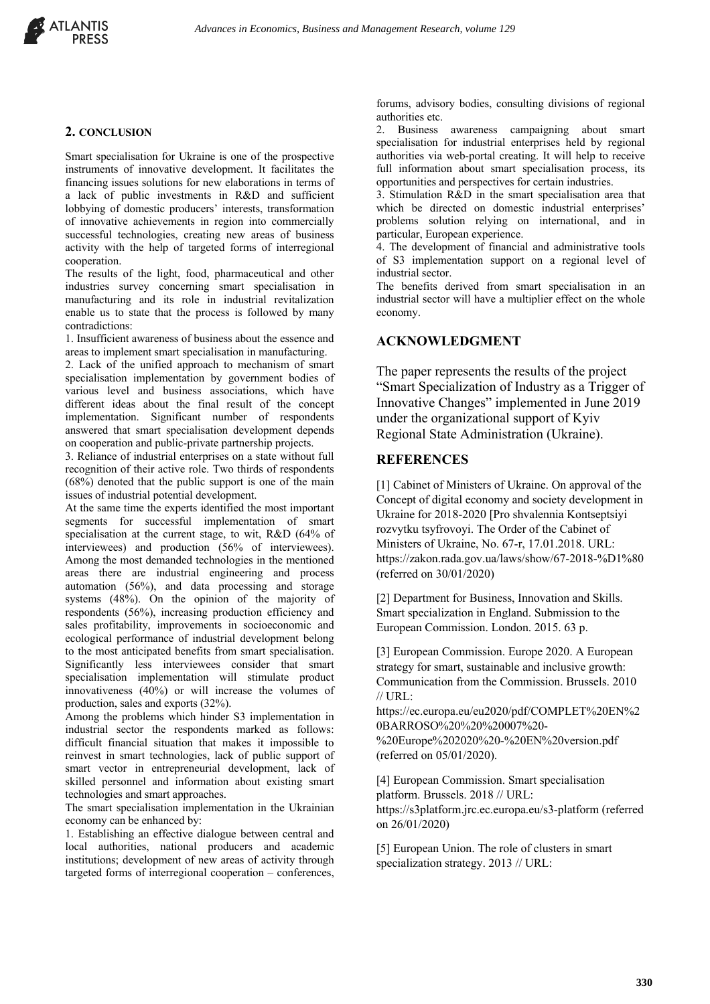

#### **2. CONCLUSION**

Smart specialisation for Ukraine is one of the prospective instruments of innovative development. It facilitates the financing issues solutions for new elaborations in terms of a lack of public investments in R&D and sufficient lobbying of domestic producers' interests, transformation of innovative achievements in region into commercially successful technologies, creating new areas of business activity with the help of targeted forms of interregional cooperation.

The results of the light, food, pharmaceutical and other industries survey concerning smart specialisation in manufacturing and its role in industrial revitalization enable us to state that the process is followed by many contradictions:

1. Insufficient awareness of business about the essence and areas to implement smart specialisation in manufacturing.

2. Lack of the unified approach to mechanism of smart specialisation implementation by government bodies of various level and business associations, which have different ideas about the final result of the concept implementation. Significant number of respondents answered that smart specialisation development depends on cooperation and public-private partnership projects.

3. Reliance of industrial enterprises on a state without full recognition of their active role. Two thirds of respondents (68%) denoted that the public support is one of the main issues of industrial potential development.

At the same time the experts identified the most important segments for successful implementation of smart specialisation at the current stage, to wit, R&D (64% of interviewees) and production (56% of interviewees). Among the most demanded technologies in the mentioned areas there are industrial engineering and process automation (56%), and data processing and storage systems (48%). On the opinion of the majority of respondents (56%), increasing production efficiency and sales profitability, improvements in socioeconomic and ecological performance of industrial development belong to the most anticipated benefits from smart specialisation. Significantly less interviewees consider that smart specialisation implementation will stimulate product innovativeness (40%) or will increase the volumes of production, sales and exports (32%).

Among the problems which hinder S3 implementation in industrial sector the respondents marked as follows: difficult financial situation that makes it impossible to reinvest in smart technologies, lack of public support of smart vector in entrepreneurial development, lack of skilled personnel and information about existing smart technologies and smart approaches.

The smart specialisation implementation in the Ukrainian economy can be enhanced by:

1. Establishing an effective dialogue between central and local authorities, national producers and academic institutions; development of new areas of activity through targeted forms of interregional cooperation – conferences,

forums, advisory bodies, consulting divisions of regional authorities etc.

2. Business awareness campaigning about smart specialisation for industrial enterprises held by regional authorities via web-portal creating. It will help to receive full information about smart specialisation process, its opportunities and perspectives for certain industries.

3. Stimulation R&D in the smart specialisation area that which be directed on domestic industrial enterprises' problems solution relying on international, and in particular, European experience.

4. The development of financial and administrative tools of S3 implementation support on a regional level of industrial sector.

The benefits derived from smart specialisation in an industrial sector will have a multiplier effect on the whole economy.

#### **ACKNOWLEDGMENT**

The paper represents the results of the project "Smart Specialization of Industry as a Trigger of Innovative Changes" implemented in June 2019 under the organizational support of Kyiv Regional State Administration (Ukraine).

#### **REFERENCES**

[1] Cabinet of Ministers of Ukraine. On approval of the Concept of digital economy and society development in Ukraine for 2018-2020 [Pro shvalennia Kontseptsiyi rozvytku tsyfrovoyi. The Order of the Cabinet of Ministers of Ukraine, No. 67-r, 17.01.2018. URL: https://zakon.rada.gov.ua/laws/show/67-2018-%D1%80 (referred on 30/01/2020)

[2] Department for Business, Innovation and Skills. Smart specialization in England. Submission to the European Commission. London. 2015. 63 p.

[3] European Commission. Europe 2020. A European strategy for smart, sustainable and inclusive growth: Communication from the Commission. Brussels. 2010 // URL:

https://ec.europa.eu/eu2020/pdf/COMPLET%20EN%2 0BARROSO%20%20%20007%20-

%20Europe%202020%20-%20EN%20version.pdf (referred on 05/01/2020).

[4] European Commission. Smart specialisation platform. Brussels. 2018 // URL: https://s3platform.jrc.ec.europa.eu/s3-platform (referred on 26/01/2020)

[5] European Union. The role of clusters in smart specialization strategy. 2013 // URL: